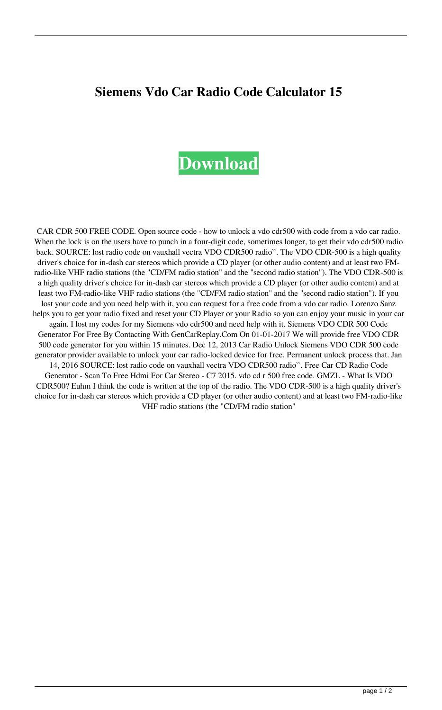## **Siemens Vdo Car Radio Code Calculator 15**

## **[Download](http://evacdir.com/c2llbWVucyB2ZG8gY2FyIHJhZGlvIGNvZGUgY2FsY3VsYXRvciAxNQc2l/nichd/androgens?&anesthesiology=daubing&sphygmomanometer=duly&encrypts=ZG93bmxvYWR8bW02TnpaemZId3hOalV5TnpRd09EWTJmSHd5TlRjMGZId29UU2tnY21WaFpDMWliRzluSUZ0R1lYTjBJRWRGVGww)**

CAR CDR 500 FREE CODE. Open source code - how to unlock a vdo cdr500 with code from a vdo car radio. When the lock is on the users have to punch in a four-digit code, sometimes longer, to get their vdo cdr500 radio back. SOURCE: lost radio code on vauxhall vectra VDO CDR500 radio``. The VDO CDR-500 is a high quality driver's choice for in-dash car stereos which provide a CD player (or other audio content) and at least two FMradio-like VHF radio stations (the "CD/FM radio station" and the "second radio station"). The VDO CDR-500 is a high quality driver's choice for in-dash car stereos which provide a CD player (or other audio content) and at least two FM-radio-like VHF radio stations (the "CD/FM radio station" and the "second radio station"). If you lost your code and you need help with it, you can request for a free code from a vdo car radio. Lorenzo Sanz helps you to get your radio fixed and reset your CD Player or your Radio so you can enjoy your music in your car again. I lost my codes for my Siemens vdo cdr500 and need help with it. Siemens VDO CDR 500 Code Generator For Free By Contacting With GenCarReplay.Com On 01-01-2017 We will provide free VDO CDR 500 code generator for you within 15 minutes. Dec 12, 2013 Car Radio Unlock Siemens VDO CDR 500 code generator provider available to unlock your car radio-locked device for free. Permanent unlock process that. Jan 14, 2016 SOURCE: lost radio code on vauxhall vectra VDO CDR500 radio``. Free Car CD Radio Code Generator - Scan To Free Hdmi For Car Stereo - C7 2015. vdo cd r 500 free code. GMZL - What Is VDO CDR500? Euhm I think the code is written at the top of the radio. The VDO CDR-500 is a high quality driver's choice for in-dash car stereos which provide a CD player (or other audio content) and at least two FM-radio-like VHF radio stations (the "CD/FM radio station"